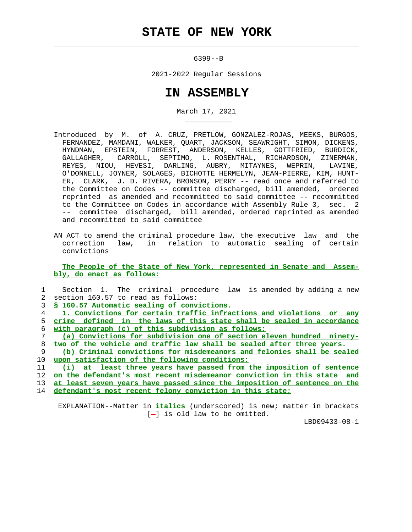$\mathcal{L}_\text{max} = \frac{1}{2} \sum_{i=1}^{n} \frac{1}{2} \sum_{i=1}^{n} \frac{1}{2} \sum_{i=1}^{n} \frac{1}{2} \sum_{i=1}^{n} \frac{1}{2} \sum_{i=1}^{n} \frac{1}{2} \sum_{i=1}^{n} \frac{1}{2} \sum_{i=1}^{n} \frac{1}{2} \sum_{i=1}^{n} \frac{1}{2} \sum_{i=1}^{n} \frac{1}{2} \sum_{i=1}^{n} \frac{1}{2} \sum_{i=1}^{n} \frac{1}{2} \sum_{i=1}^{n} \frac{1$ 

\_\_\_\_\_\_\_\_\_\_\_

6399--B

2021-2022 Regular Sessions

## **IN ASSEMBLY**

March 17, 2021

- Introduced by M. of A. CRUZ, PRETLOW, GONZALEZ-ROJAS, MEEKS, BURGOS, FERNANDEZ, MAMDANI, WALKER, QUART, JACKSON, SEAWRIGHT, SIMON, DICKENS, HYNDMAN, EPSTEIN, FORREST, ANDERSON, KELLES, GOTTFRIED, BURDICK, GALLAGHER, CARROLL, SEPTIMO, L. ROSENTHAL, RICHARDSON, ZINERMAN, REYES, NIOU, HEVESI, DARLING, AUBRY, MITAYNES, WEPRIN, LAVINE, O'DONNELL, JOYNER, SOLAGES, BICHOTTE HERMELYN, JEAN-PIERRE, KIM, HUNT- ER, CLARK, J. D. RIVERA, BRONSON, PERRY -- read once and referred to the Committee on Codes -- committee discharged, bill amended, ordered reprinted as amended and recommitted to said committee -- recommitted to the Committee on Codes in accordance with Assembly Rule 3, sec. 2 -- committee discharged, bill amended, ordered reprinted as amended and recommitted to said committee
- AN ACT to amend the criminal procedure law, the executive law and the correction law, in relation to automatic sealing of certain convictions

 **The People of the State of New York, represented in Senate and Assem bly, do enact as follows:**

| Section 1. The criminal procedure law is amended by adding a new               |
|--------------------------------------------------------------------------------|
| section 160.57 to read as follows:<br>2                                        |
| \$ 160.57 Automatic sealing of convictions.<br>3                               |
| 1. Convictions for certain traffic infractions and violations or any<br>4      |
| crime defined in the laws of this state shall be sealed in accordance<br>5.    |
| with paragraph (c) of this subdivision as follows:<br>6                        |
| (a) Convictions for subdivision one of section eleven hundred ninety-          |
| two of the vehicle and traffic law shall be sealed after three years.<br>8     |
| (b) Criminal convictions for misdemeanors and felonies shall be sealed<br>9    |
| 10<br>upon satisfaction of the following conditions:                           |
| (i) at least three years have passed from the imposition of sentence<br>11     |
| on the defendant's most recent misdemeanor conviction in this state and<br>12  |
| at least seven years have passed since the imposition of sentence on the<br>13 |
| defendant's most recent felony conviction in this state;<br>14                 |
|                                                                                |

 EXPLANATION--Matter in **italics** (underscored) is new; matter in brackets  $[-]$  is old law to be omitted.

LBD09433-08-1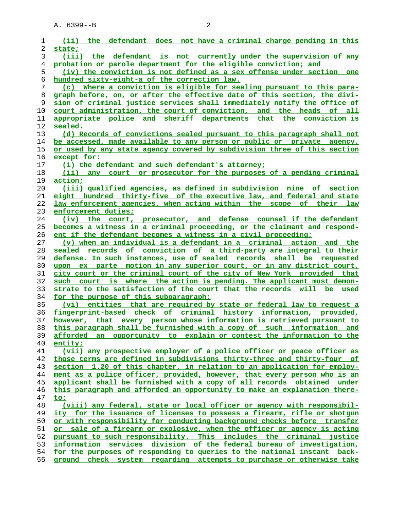| 1        | (ii) the defendant does not have a criminal charge pending in this                                                                              |
|----------|-------------------------------------------------------------------------------------------------------------------------------------------------|
| 2        | state;                                                                                                                                          |
| 3        | (iii) the defendant is not currently under the supervision of any                                                                               |
| 4        | probation or parole department for the eligible conviction; and                                                                                 |
| 5        | (iv) the conviction is not defined as a sex offense under section one                                                                           |
| 6        | hundred sixty-eight-a of the correction law.                                                                                                    |
| 7        | (c) Where a conviction is eligible for sealing pursuant to this para-                                                                           |
| 8        | graph before, on, or after the effective date of this section, the divi-                                                                        |
| 9        | sion of criminal justice services shall immediately notify the office of<br>court administration, the court of conviction, and the heads of all |
| 10<br>11 | appropriate police and sheriff departments that the conviction is                                                                               |
| 12       | sealed.                                                                                                                                         |
| 13       | (d) Records of convictions sealed pursuant to this paragraph shall not                                                                          |
| 14       | be accessed, made available to any person or public or private agency,                                                                          |
| 15       | or used by any state agency covered by subdivision three of this section                                                                        |
| 16       | except for:                                                                                                                                     |
| 17       | (i) the defendant and such defendant's attorney;                                                                                                |
| 18       | (ii) any court or prosecutor for the purposes of a pending criminal                                                                             |
| 19       | action;                                                                                                                                         |
| 20       | (iii) qualified agencies, as defined in subdivision nine of section                                                                             |
| 21       | eight hundred thirty-five of the executive law, and federal and state                                                                           |
| 22       | law enforcement agencies, when acting within the scope of their law                                                                             |
| 23       | enforcement duties;                                                                                                                             |
| 24       | (iv) the court, prosecutor, and defense counsel if the defendant                                                                                |
| 25       | becomes a witness in a criminal proceeding, or the claimant and respond-                                                                        |
| 26       | ent if the defendant becomes a witness in a civil proceeding;                                                                                   |
| 27       | (v) when an individual is a defendant in a criminal action and the                                                                              |
| 28       | sealed records of conviction of a third-party are integral to their                                                                             |
| 29       | defense. In such instances, use of sealed records shall be requested                                                                            |
| 30       | upon ex parte motion in any superior court, or in any district court,                                                                           |
| 31       | city court or the criminal court of the city of New York provided that                                                                          |
| 32       | such court is where the action is pending. The applicant must demon-                                                                            |
| 33       | strate to the satisfaction of the court that the records will be used                                                                           |
| 34       | for the purpose of this subparagraph;                                                                                                           |
| 35       | (vi) entities that are required by state or federal law to request a                                                                            |
| 36       | fingerprint-based check of criminal history information, provided,                                                                              |
| 37       | however, that every person whose information is retrieved pursuant to                                                                           |
| 38       | this paragraph shall be furnished with a copy of such information and                                                                           |
| 39       | afforded an opportunity to explain or contest the information to the                                                                            |
| 40<br>41 | entity;<br>(vii) any prospective employer of a police officer or peace officer as                                                               |
| 42       | those terms are defined in subdivisions thirty-three and thirty-four of                                                                         |
| 43       | section 1.20 of this chapter, in relation to an application for employ-                                                                         |
| 44       | ment as a police officer, provided, however, that every person who is an                                                                        |
| 45       | applicant shall be furnished with a copy of all records obtained under                                                                          |
| 46       | this paragraph and afforded an opportunity to make an explanation there-                                                                        |
| 47       | to;                                                                                                                                             |
| 48       | (viii) any federal, state or local officer or agency with responsibil-                                                                          |
| 49       | ity for the issuance of licenses to possess a firearm, rifle or shotgun                                                                         |
| 50       | or with responsibility for conducting background checks before transfer                                                                         |
| 51       | sale of a firearm or explosive, when the officer or agency is acting<br>or                                                                      |
| 52       | pursuant to such responsibility. This includes the criminal justice                                                                             |
| 53       | information services division of the federal bureau of investigation,                                                                           |
| 54       | for the purposes of responding to queries to the national instant back-                                                                         |
| 55       | ground check system regarding attempts to purchase or otherwise take                                                                            |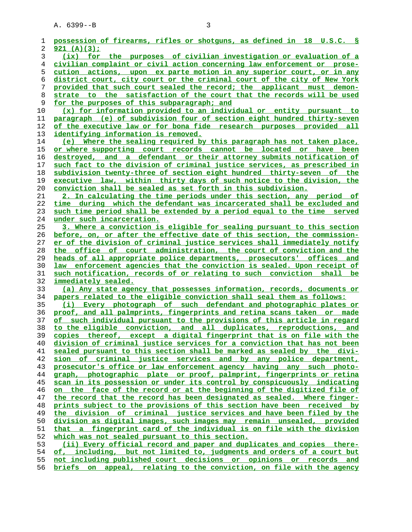| 1        | possession of firearms, rifles or shotguns, as defined in 18 U.S.C. S                                                                              |
|----------|----------------------------------------------------------------------------------------------------------------------------------------------------|
| 2        | 921 $(A)(3)$ ;                                                                                                                                     |
| 3        | (ix) for the purposes of civilian investigation or evaluation of a                                                                                 |
| 4        | civilian complaint or civil action concerning law enforcement or prose-                                                                            |
| 5        | <u>cution actions, upon ex parte motion in any superior court, or in any</u>                                                                       |
| 6        | district court, city court or the criminal court of the city of New York                                                                           |
| 7        | provided that such court sealed the record; the applicant must demon-                                                                              |
| 8        | strate to the satisfaction of the court that the records will be used                                                                              |
| 9        | for the purposes of this subparagraph; and                                                                                                         |
| 10       | (x) for information provided to an individual or entity pursuant to                                                                                |
| 11       | paragraph (e) of subdivision four of section eight hundred thirty-seven                                                                            |
| 12       | of the executive law or for bona fide research purposes provided all                                                                               |
| 13       | identifying information is removed.                                                                                                                |
| 14       | (e) Where the sealing required by this paragraph has not taken place,                                                                              |
| 15       | or where supporting court records cannot be located or have been                                                                                   |
|          | destroyed, and a defendant or their attorney submits notification of                                                                               |
| 16       |                                                                                                                                                    |
| 17<br>18 | such fact to the division of criminal justice services, as prescribed in<br>subdivision twenty-three of section eight hundred thirty-seven of the  |
| 19       | executive law, within thirty days of such notice to the division, the                                                                              |
| 20       |                                                                                                                                                    |
| 21       | conviction shall be sealed as set forth in this subdivision.<br>2. In calculating the time periods under this section, any period of               |
|          | time during which the defendant was incarcerated shall be excluded and                                                                             |
| 22       |                                                                                                                                                    |
| 23<br>24 | such time period shall be extended by a period equal to the time served                                                                            |
| 25       | under such incarceration.                                                                                                                          |
|          | 3. Where a conviction is eligible for sealing pursuant to this section<br>before, on, or after the effective date of this section, the commission- |
| 26<br>27 | er of the division of criminal justice services shall immediately notify                                                                           |
|          | the office of court administration, the court of conviction and the                                                                                |
| 28       |                                                                                                                                                    |
| 29<br>30 | heads of all appropriate police departments, prosecutors' offices and                                                                              |
| 31       | law enforcement agencies that the conviction is sealed. Upon receipt of<br>such notification, records of or relating to such conviction shall be   |
| 32       | immediately sealed.                                                                                                                                |
| 33       | (a) Any state agency that possesses information, records, documents or                                                                             |
| 34       | papers related to the eligible conviction shall seal them as follows:                                                                              |
| 35       | (i) Every photograph of such defendant and photographic plates or                                                                                  |
|          |                                                                                                                                                    |
| 36<br>37 | proof, and all palmprints, fingerprints and retina scans taken or made<br>of such individual pursuant to the provisions of this article in regard  |
| 38       | to the eligible conviction, and all duplicates, reproductions, and                                                                                 |
| 39       | copies thereof, except a digital fingerprint that is on file with the                                                                              |
| 40       | division of criminal justice services for a conviction that has not been                                                                           |
| 41       | sealed pursuant to this section shall be marked as sealed by the divi-                                                                             |
| 42       | sion of criminal justice services and by any police department,                                                                                    |
| 43       | prosecutor's office or law enforcement agency having any such photo-                                                                               |
| 44       | graph, photographic plate or proof, palmprint, fingerprints or retina                                                                              |
| 45       | scan in its possession or under its control by conspicuously indicating                                                                            |
| 46       | the face of the record or at the beginning of the digitized file of<br>on                                                                          |
| 47       | the record that the record has been designated as sealed. Where finger-                                                                            |
| 48       | prints subject to the provisions of this section have been received by                                                                             |
| 49       | the division of criminal justice services and have been filed by the                                                                               |
| 50       | division as digital images, such images may remain unsealed, provided                                                                              |
| 51       | fingerprint card of the individual is on file with the division<br>that a                                                                          |
| 52       | which was not sealed pursuant to this section.                                                                                                     |
| 53       | (ii) Every official record and paper and duplicates and copies there-                                                                              |
| 54       | of, including, but not limited to, judgments and orders of a court but                                                                             |
| 55       | not including published court decisions or opinions or records and                                                                                 |
| 56       | briefs on appeal, relating to the conviction, on file with the agency                                                                              |
|          |                                                                                                                                                    |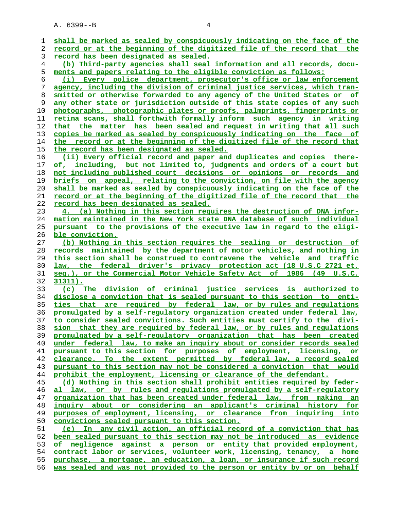A. 6399--B 4

**shall be marked as sealed by conspicuously indicating on the face of the record or at the beginning of the digitized file of the record that the record has been designated as sealed. (b) Third-party agencies shall seal information and all records, docu- ments and papers relating to the eligible conviction as follows: (i) Every police department, prosecutor's office or law enforcement agency, including the division of criminal justice services, which tran- smitted or otherwise forwarded to any agency of the United States or of any other state or jurisdiction outside of this state copies of any such photographs, photographic plates or proofs, palmprints, fingerprints or retina scans, shall forthwith formally inform such agency in writing that the matter has been sealed and request in writing that all such copies be marked as sealed by conspicuously indicating on the face of the record or at the beginning of the digitized file of the record that the record has been designated as sealed. (ii) Every official record and paper and duplicates and copies there- of, including, but not limited to, judgments and orders of a court but not including published court decisions or opinions or records and briefs on appeal, relating to the conviction, on file with the agency shall be marked as sealed by conspicuously indicating on the face of the record or at the beginning of the digitized file of the record that the record has been designated as sealed. 4. (a) Nothing in this section requires the destruction of DNA infor- mation maintained in the New York state DNA database of such individual pursuant to the provisions of the executive law in regard to the eligi- ble conviction. (b) Nothing in this section requires the sealing or destruction of records maintained by the department of motor vehicles, and nothing in this section shall be construed to contravene the vehicle and traffic law, the federal driver's privacy protection act (18 U.S.C 2721 et. seq.), or the Commercial Motor Vehicle Safety Act of 1986 (49 U.S.C. 31311). (c) The division of criminal justice services is authorized to disclose a conviction that is sealed pursuant to this section to enti- ties that are required by federal law, or by rules and regulations promulgated by a self-regulatory organization created under federal law, to consider sealed convictions. Such entities must certify to the divi- sion that they are required by federal law, or by rules and regulations promulgated by a self-regulatory organization that has been created under federal law, to make an inquiry about or consider records sealed pursuant to this section for purposes of employment, licensing, or clearance. To the extent permitted by federal law, a record sealed pursuant to this section may not be considered a conviction that would prohibit the employment, licensing or clearance of the defendant. (d) Nothing in this section shall prohibit entities required by feder- al law, or by rules and regulations promulgated by a self-regulatory organization that has been created under federal law, from making an inquiry about or considering an applicant's criminal history for purposes of employment, licensing, or clearance from inquiring into convictions sealed pursuant to this section. (e) In any civil action, an official record of a conviction that has been sealed pursuant to this section may not be introduced as evidence of negligence against a person or entity that provided employment, contract labor or services, volunteer work, licensing, tenancy, a home purchase, a mortgage, an education, a loan, or insurance if such record was sealed and was not provided to the person or entity by or on behalf**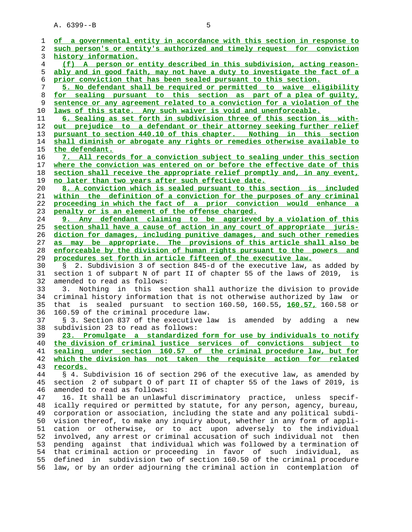A. 6399--B 5

| 1              | of a governmental entity in accordance with this section in response to      |
|----------------|------------------------------------------------------------------------------|
| 2              | such person's or entity's authorized and timely request for conviction       |
| 3              | history information.                                                         |
| $\overline{4}$ | (f) A person or entity described in this subdivision, acting reason-         |
| 5              | ably and in good faith, may not have a duty to investigate the fact of a     |
| 6              | prior conviction that has been sealed pursuant to this section.              |
| 7              | 5. No defendant shall be required or permitted to waive eligibility          |
| 8              | for sealing pursuant to this section as part of a plea of quilty,            |
| 9              | sentence or any agreement related to a conviction for a violation of the     |
| 10             | laws of this state. Any such waiver is void and unenforceable.               |
| 11             | 6. Sealing as set forth in subdivision three of this section is with-        |
| 12             | <u>out prejudice to a defendant or their attorney seeking further relief</u> |
| 13             | pursuant to section 440.10 of this chapter. Nothing in this section          |
| 14             | shall diminish or abrogate any rights or remedies otherwise available to     |
| 15             | the defendant.                                                               |
| 16             | 7. All records for a conviction subject to sealing under this section        |
|                |                                                                              |
| 17             | where the conviction was entered on or before the effective date of this     |
| 18             | section shall receive the appropriate relief promptly and, in any event,     |
| 19             | no later than two years after such effective date.                           |
| 20             | 8. A conviction which is sealed pursuant to this section is included         |
| 21             | within the definition of a conviction for the purposes of any criminal       |
| 22             | proceeding in which the fact of a prior conviction would enhance a           |
| 23             | penalty or is an element of the offense charged.                             |
| 24             | 9. Any defendant claiming to be aggrieved by a violation of this             |
| 25             | section shall have a cause of action in any court of appropriate juris-      |
| 26             | diction for damages, including punitive damages, and such other remedies     |
| 27             | as may be appropriate. The provisions of this article shall also be          |
| 28             | enforceable by the division of human rights pursuant to the powers and       |
| 29             | procedures set forth in article fifteen of the executive law.                |
| 30             | 2. Subdivision 3 of section 845-d of the executive law, as added by<br>S     |
| 31             | section 1 of subpart N of part II of chapter 55 of the laws of 2019,<br>is   |
| 32             | amended to read as follows:                                                  |
| 33             | Nothing in this section shall authorize the division to provide<br>3.        |
| 34             | criminal history information that is not otherwise authorized by law or      |
| 35             | sealed pursuant to section 160.50, 160.55, 160.57, 160.58 or<br>that is      |
| 36             | 160.59 of the criminal procedure law.                                        |
| 37             | § 3. Section 837 of the executive law is amended by<br>adding<br>a new       |
| 38             | subdivision 23 to read as follows:                                           |
| 39             | 23. Promulgate a standardized form for use by individuals to notify          |
| 40             | the division of criminal justice services of convictions subject to          |
| 41             | sealing under section 160.57 of the criminal procedure law, but for          |
| 42             | which the division has not taken the requisite action for related            |
| 43             | records.                                                                     |
| 44             | § 4. Subdivision 16 of section 296 of the executive law, as amended by       |
| 45             | section 2 of subpart 0 of part II of chapter 55 of the laws of 2019, is      |
| 46             | amended to read as follows:                                                  |
| 47             | 16. It shall be an unlawful discriminatory practice, unless<br>$spectf -$    |
| 48             | ically required or permitted by statute, for any person, agency, bureau,     |
| 49             | corporation or association, including the state and any political subdi-     |
| 50             | vision thereof, to make any inquiry about, whether in any form of appli-     |
| 51             | otherwise, or to act upon adversely to the individual<br>cation<br>or        |
| 52             | involved, any arrest or criminal accusation of such individual not then      |
| 53             | against that individual which was followed by a termination of<br>pending    |
| 54             | that criminal action or proceeding in favor of such individual,<br>as        |
| 55             | subdivision two of section 160.50 of the criminal procedure<br>defined<br>in |
| 56             | law, or by an order adjourning the criminal action in contemplation of       |
|                |                                                                              |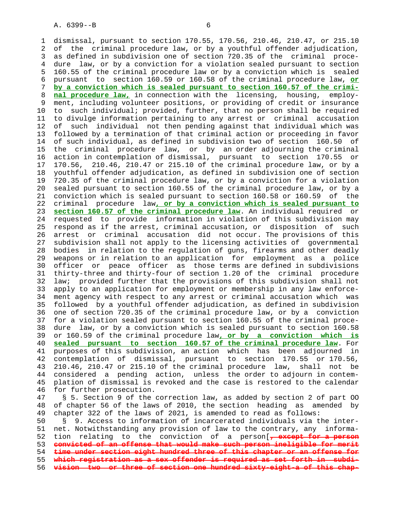1 dismissal, pursuant to section 170.55, 170.56, 210.46, 210.47, or 215.10 2 of the criminal procedure law, or by a youthful offender adjudication, 3 as defined in subdivision one of section 720.35 of the criminal proce- 4 dure law, or by a conviction for a violation sealed pursuant to section 5 160.55 of the criminal procedure law or by a conviction which is sealed 6 pursuant to section 160.59 or 160.58 of the criminal procedure law, **or** 7 **by a conviction which is sealed pursuant to section 160.57 of the crimi-** 8 **nal procedure law,** in connection with the licensing, housing, employ- 9 ment, including volunteer positions, or providing of credit or insurance 10 to such individual; provided, further, that no person shall be required 11 to divulge information pertaining to any arrest or criminal accusation 12 of such individual not then pending against that individual which was 13 followed by a termination of that criminal action or proceeding in favor 14 of such individual, as defined in subdivision two of section 160.50 of 15 the criminal procedure law, or by an order adjourning the criminal 16 action in contemplation of dismissal, pursuant to section 170.55 or 17 170.56, 210.46, 210.47 or 215.10 of the criminal procedure law, or by a 18 youthful offender adjudication, as defined in subdivision one of section 19 720.35 of the criminal procedure law, or by a conviction for a violation 20 sealed pursuant to section 160.55 of the criminal procedure law, or by a 21 conviction which is sealed pursuant to section 160.58 or 160.59 of the 22 criminal procedure law**, or by a conviction which is sealed pursuant to** 23 **section 160.57 of the criminal procedure law**. An individual required or 24 requested to provide information in violation of this subdivision may 25 respond as if the arrest, criminal accusation, or disposition of such 26 arrest or criminal accusation did not occur. The provisions of this 27 subdivision shall not apply to the licensing activities of governmental 28 bodies in relation to the regulation of guns, firearms and other deadly 29 weapons or in relation to an application for employment as a police 30 officer or peace officer as those terms are defined in subdivisions 31 thirty-three and thirty-four of section 1.20 of the criminal procedure 32 law; provided further that the provisions of this subdivision shall not 33 apply to an application for employment or membership in any law enforce- 34 ment agency with respect to any arrest or criminal accusation which was 35 followed by a youthful offender adjudication, as defined in subdivision 36 one of section 720.35 of the criminal procedure law, or by a conviction 37 for a violation sealed pursuant to section 160.55 of the criminal proce- 38 dure law, or by a conviction which is sealed pursuant to section 160.58 39 or 160.59 of the criminal procedure law**, or by a conviction which is** 40 **sealed pursuant to section 160.57 of the criminal procedure law**. For 41 purposes of this subdivision, an action which has been adjourned in 42 contemplation of dismissal, pursuant to section 170.55 or 170.56, 43 210.46, 210.47 or 215.10 of the criminal procedure law, shall not be 44 considered a pending action, unless the order to adjourn in contem- 45 plation of dismissal is revoked and the case is restored to the calendar 46 for further prosecution. 47 § 5. Section 9 of the correction law, as added by section 2 of part OO 48 of chapter 56 of the laws of 2010, the section heading as amended by 49 chapter 322 of the laws of 2021, is amended to read as follows: 50 § 9. Access to information of incarcerated individuals via the inter- 51 net. Notwithstanding any provision of law to the contrary, any informa- 52 tion relating to the conviction of a person[**, except for a person** 53 **convicted of an offense that would make such person ineligible for merit**

54 **time under section eight hundred three of this chapter or an offense for**

55 **which registration as a sex offender is required as set forth in subdi-**

56 **vision two or three of section one hundred sixty-eight-a of this chap-**